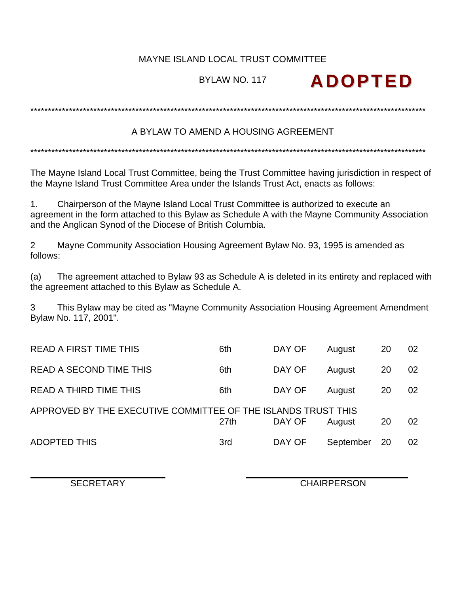## MAYNE ISLAND LOCAL TRUST COMMITTEE

# BYLAW NO. 117

## A BYLAW TO AMEND A HOUSING AGREEMENT

The Mayne Island Local Trust Committee, being the Trust Committee having jurisdiction in respect of the Mayne Island Trust Committee Area under the Islands Trust Act, enacts as follows:

Chairperson of the Mayne Island Local Trust Committee is authorized to execute an  $1<sub>1</sub>$ agreement in the form attached to this Bylaw as Schedule A with the Mayne Community Association and the Anglican Synod of the Diocese of British Columbia.

 $\overline{2}$ Mayne Community Association Housing Agreement Bylaw No. 93, 1995 is amended as follows:

The agreement attached to Bylaw 93 as Schedule A is deleted in its entirety and replaced with  $(a)$ the agreement attached to this Bylaw as Schedule A.

This Bylaw may be cited as "Mayne Community Association Housing Agreement Amendment  $\mathcal{S}$ Bylaw No. 117, 2001".

| <b>READ A FIRST TIME THIS</b>                                 | 6th  | DAY OF | August    | 20 | 02 |
|---------------------------------------------------------------|------|--------|-----------|----|----|
| <b>READ A SECOND TIME THIS</b>                                | 6th  | DAY OF | August    | 20 | 02 |
| <b>READ A THIRD TIME THIS</b>                                 | 6th  | DAY OF | August    | 20 | 02 |
| APPROVED BY THE EXECUTIVE COMMITTEE OF THE ISLANDS TRUST THIS | 27th | DAY OF | August    | 20 | 02 |
| <b>ADOPTED THIS</b>                                           | 3rd  | DAY OF | September | 20 | 02 |

**SECRETARY** 

**CHAIRPERSON** 

**ADOPTED**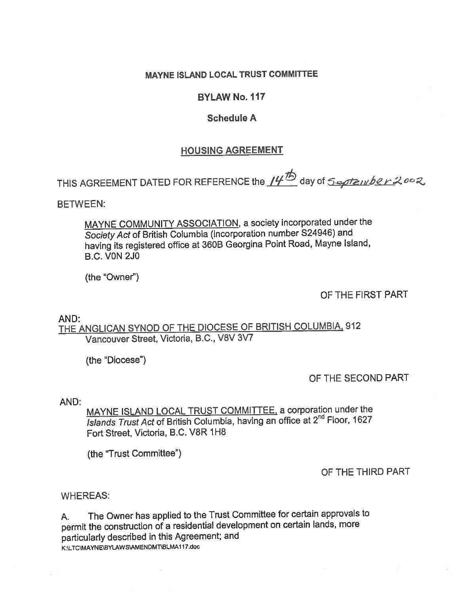## **MAYNE ISLAND LOCAL TRUST COMMITTEE**

### **BYLAW No. 117**

### **Schedule A**

### **HOUSING AGREEMENT**

THIS AGREEMENT DATED FOR REFERENCE the 14<sup>th</sup> day of *September 2002* 

**RFTWEEN:** 

MAYNE COMMUNITY ASSOCIATION, a society incorporated under the Society Act of British Columbia (incorporation number S24946) and having its registered office at 360B Georgina Point Road, Mayne Island, **B.C. VON 2J0** 

(the "Owner")

OF THE FIRST PART

### AND:

THE ANGLICAN SYNOD OF THE DIOCESE OF BRITISH COLUMBIA, 912 Vancouver Street, Victoria, B.C., V8V 3V7

(the "Diocese")

OF THE SECOND PART

AND:

MAYNE ISLAND LOCAL TRUST COMMITTEE, a corporation under the Islands Trust Act of British Columbia, having an office at 2<sup>nd</sup> Floor, 1627 Fort Street, Victoria, B.C. V8R 1H8

(the "Trust Committee")

#### OF THE THIRD PART

#### **WHEREAS:**

The Owner has applied to the Trust Committee for certain approvals to А. permit the construction of a residential development on certain lands, more particularly described in this Agreement; and K:\LTC\MAYNE\BYLAWS\AMENDMT\BLMA117.doc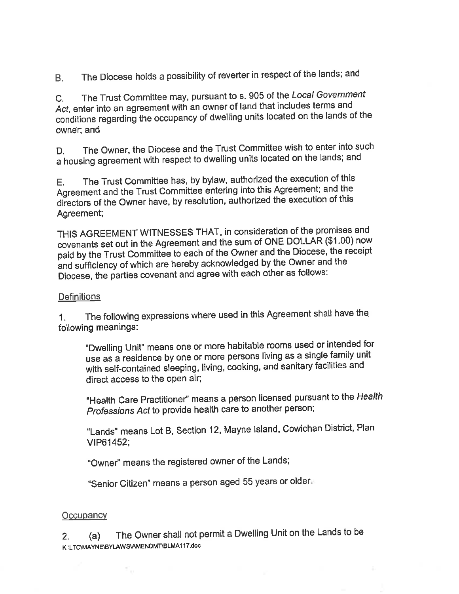The Diocese holds a possibility of reverter in respect of the lands; and B.

The Trust Committee may, pursuant to s. 905 of the Local Government  $C_{1}$ Act, enter into an agreement with an owner of land that includes terms and conditions regarding the occupancy of dwelling units located on the lands of the owner: and

The Owner, the Diocese and the Trust Committee wish to enter into such D. a housing agreement with respect to dwelling units located on the lands; and

The Trust Committee has, by bylaw, authorized the execution of this E. Agreement and the Trust Committee entering into this Agreement; and the directors of the Owner have, by resolution, authorized the execution of this Agreement;

THIS AGREEMENT WITNESSES THAT, in consideration of the promises and covenants set out in the Agreement and the sum of ONE DOLLAR (\$1.00) now paid by the Trust Committee to each of the Owner and the Diocese, the receipt and sufficiency of which are hereby acknowledged by the Owner and the Diocese, the parties covenant and agree with each other as follows:

### **Definitions**

The following expressions where used in this Agreement shall have the  $1<sup>1</sup>$ following meanings:

"Dwelling Unit" means one or more habitable rooms used or intended for use as a residence by one or more persons living as a single family unit with self-contained sleeping, living, cooking, and sanitary facilities and direct access to the open air;

"Health Care Practitioner" means a person licensed pursuant to the Health Professions Act to provide health care to another person;

"Lands" means Lot B, Section 12, Mayne Island, Cowichan District, Plan VIP61452;

"Owner" means the registered owner of the Lands;

"Senior Citizen" means a person aged 55 years or older.

### Occupancy

The Owner shall not permit a Dwelling Unit on the Lands to be  $2.$  $(a)$ K:\LTC\MAYNE\BYLAWS\AMENDMT\BLMA117.doc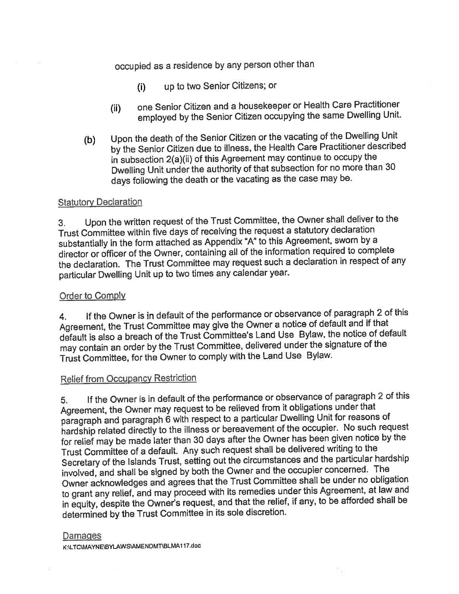# occupied as a residence by any person other than

- up to two Senior Citizens; or  $(i)$
- one Senior Citizen and a housekeeper or Health Care Practitioner  $(ii)$ employed by the Senior Citizen occupying the same Dwelling Unit.
- Upon the death of the Senior Citizen or the vacating of the Dwelling Unit  $(b)$ by the Senior Citizen due to illness, the Health Care Practitioner described in subsection 2(a)(ii) of this Agreement may continue to occupy the Dwelling Unit under the authority of that subsection for no more than 30 days following the death or the vacating as the case may be.

#### **Statutory Declaration**

Upon the written request of the Trust Committee, the Owner shall deliver to the  $3<sub>1</sub>$ Trust Committee within five days of receiving the request a statutory declaration substantially in the form attached as Appendix "A" to this Agreement, sworn by a director or officer of the Owner, containing all of the information required to complete the declaration. The Trust Committee may request such a declaration in respect of any particular Dwelling Unit up to two times any calendar year.

#### Order to Comply

If the Owner is in default of the performance or observance of paragraph 2 of this 4. Agreement, the Trust Committee may give the Owner a notice of default and if that default is also a breach of the Trust Committee's Land Use Bylaw, the notice of default may contain an order by the Trust Committee, delivered under the signature of the Trust Committee, for the Owner to comply with the Land Use Bylaw.

## **Relief from Occupancy Restriction**

If the Owner is in default of the performance or observance of paragraph 2 of this 5. Agreement, the Owner may request to be relieved from it obligations under that paragraph and paragraph 6 with respect to a particular Dwelling Unit for reasons of hardship related directly to the illness or bereavement of the occupier. No such request for relief may be made later than 30 days after the Owner has been given notice by the Trust Committee of a default. Any such request shall be delivered writing to the Secretary of the Islands Trust, setting out the circumstances and the particular hardship involved, and shall be signed by both the Owner and the occupier concerned. The Owner acknowledges and agrees that the Trust Committee shall be under no obligation to grant any relief, and may proceed with its remedies under this Agreement, at law and in equity, despite the Owner's request, and that the relief, if any, to be afforded shall be determined by the Trust Committee in its sole discretion.

#### Damages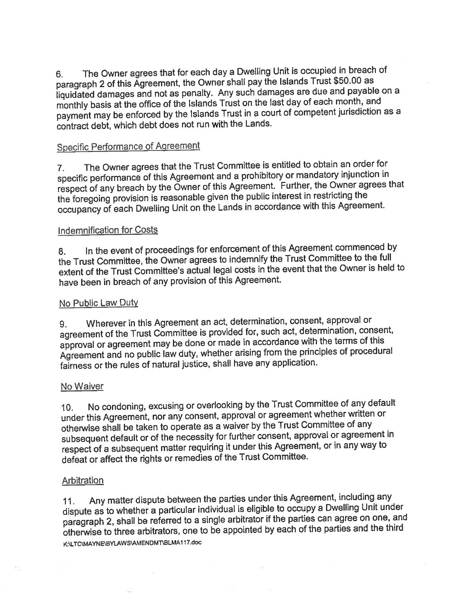The Owner agrees that for each day a Dwelling Unit is occupied in breach of 6. paragraph 2 of this Agreement, the Owner shall pay the Islands Trust \$50.00 as iiquidated damages and not as penalty. Any such damages are due and payable on a monthly basis at the office of the Islands Trust on the last day of each month, and payment may be enforced by the Islands Trust in a court of competent jurisdiction as a contract debt, which debt does not run with the Lands.

## **Specific Performance of Agreement**

The Owner agrees that the Trust Committee is entitled to obtain an order for  $7<sub>1</sub>$ specific performance of this Agreement and a prohibitory or mandatory injunction in respect of any breach by the Owner of this Agreement. Further, the Owner agrees that the foregoing provision is reasonable given the public interest in restricting the occupancy of each Dwelling Unit on the Lands in accordance with this Agreement.

#### Indemnification for Costs

In the event of proceedings for enforcement of this Agreement commenced by 8. the Trust Committee, the Owner agrees to indemnify the Trust Committee to the full extent of the Trust Committee's actual legal costs in the event that the Owner is held to have been in breach of any provision of this Agreement.

#### No Public Law Duty

Wherever in this Agreement an act, determination, consent, approval or 9. agreement of the Trust Committee is provided for, such act, determination, consent, approval or agreement may be done or made in accordance with the terms of this Agreement and no public law duty, whether arising from the principles of procedural fairness or the rules of natural justice, shall have any application.

#### No Waiver

No condoning, excusing or overlooking by the Trust Committee of any default  $10.$ under this Agreement, nor any consent, approval or agreement whether written or otherwise shall be taken to operate as a waiver by the Trust Committee of any subsequent default or of the necessity for further consent, approval or agreement in respect of a subsequent matter requiring it under this Agreement, or in any way to defeat or affect the rights or remedies of the Trust Committee.

#### Arbitration

Any matter dispute between the parties under this Agreement, including any  $11.$ dispute as to whether a particular individual is eligible to occupy a Dwelling Unit under paragraph 2, shall be referred to a single arbitrator if the parties can agree on one, and otherwise to three arbitrators, one to be appointed by each of the parties and the third K:\LTC\MAYNE\BYLAWS\AMENDMT\BLMA117.doc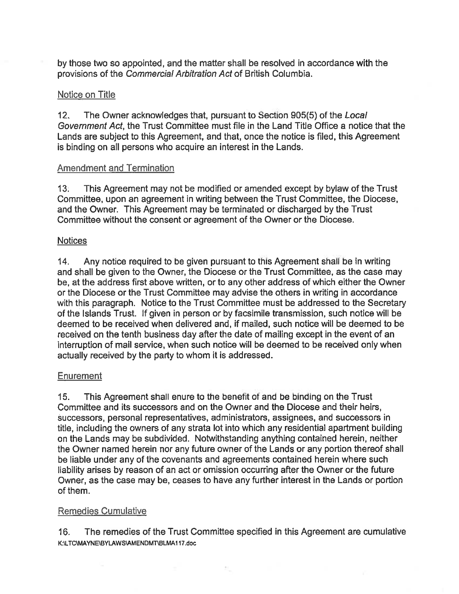by those two so appointed, and the matter shall be resolved in accordance with the provisions of the Commercial Arbitration Act of British Columbia.

### Notice on Title

The Owner acknowledges that, pursuant to Section 905(5) of the Local  $12.$ Government Act, the Trust Committee must file in the Land Title Office a notice that the Lands are subject to this Agreement, and that, once the notice is filed, this Agreement is binding on all persons who acquire an interest in the Lands.

### **Amendment and Termination**

This Agreement may not be modified or amended except by bylaw of the Trust  $13<sub>1</sub>$ Committee, upon an agreement in writing between the Trust Committee, the Diocese, and the Owner. This Agreement may be terminated or discharged by the Trust Committee without the consent or agreement of the Owner or the Diocese.

### **Notices**

 $14.$ Any notice required to be given pursuant to this Agreement shall be in writing and shall be given to the Owner, the Diocese or the Trust Committee, as the case may be, at the address first above written, or to any other address of which either the Owner or the Diocese or the Trust Committee may advise the others in writing in accordance with this paragraph. Notice to the Trust Committee must be addressed to the Secretary of the Islands Trust. If given in person or by facsimile transmission, such notice will be deemed to be received when delivered and, if mailed, such notice will be deemed to be received on the tenth business day after the date of mailing except in the event of an interruption of mail service, when such notice will be deemed to be received only when actually received by the party to whom it is addressed.

### Enurement

This Agreement shall enure to the benefit of and be binding on the Trust  $15.$ Committee and its successors and on the Owner and the Diocese and their heirs, successors, personal representatives, administrators, assignees, and successors in title, including the owners of any strata lot into which any residential apartment building on the Lands may be subdivided. Notwithstanding anything contained herein, neither the Owner named herein nor any future owner of the Lands or any portion thereof shall be liable under any of the covenants and agreements contained herein where such liability arises by reason of an act or omission occurring after the Owner or the future Owner, as the case may be, ceases to have any further interest in the Lands or portion of them.

### **Remedies Cumulative**

16. The remedies of the Trust Committee specified in this Agreement are cumulative K:\LTC\MAYNE\BYLAWS\AMENDMT\BLMA117.doc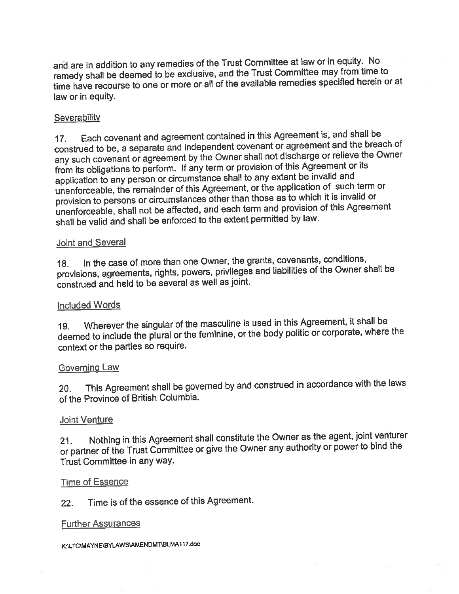and are in addition to any remedies of the Trust Committee at law or in equity. No remedy shall be deemed to be exclusive, and the Trust Committee may from time to time have recourse to one or more or all of the available remedies specified herein or at law or in equity.

### Severability

Each covenant and agreement contained in this Agreement is, and shall be  $17<sub>1</sub>$ construed to be, a separate and independent covenant or agreement and the breach of any such covenant or agreement by the Owner shall not discharge or relieve the Owner from its obligations to perform. If any term or provision of this Agreement or its application to any person or circumstance shall to any extent be invalid and unenforceable, the remainder of this Agreement, or the application of such term or provision to persons or circumstances other than those as to which it is invalid or unenforceable, shall not be affected, and each term and provision of this Agreement shall be valid and shall be enforced to the extent permitted by law.

#### Joint and Several

In the case of more than one Owner, the grants, covenants, conditions,  $18.$ provisions, agreements, rights, powers, privileges and liabilities of the Owner shall be construed and held to be several as well as joint.

#### **Included Words**

Wherever the singular of the masculine is used in this Agreement, it shall be  $19.$ deemed to include the plural or the feminine, or the body politic or corporate, where the context or the parties so require.

#### Governing Law

This Agreement shall be governed by and construed in accordance with the laws  $20.$ of the Province of British Columbia.

#### Joint Venture

Nothing in this Agreement shall constitute the Owner as the agent, joint venturer  $21.$ or partner of the Trust Committee or give the Owner any authority or power to bind the Trust Committee in any way.

#### **Time of Essence**

Time is of the essence of this Agreement.  $22.$ 

#### **Further Assurances**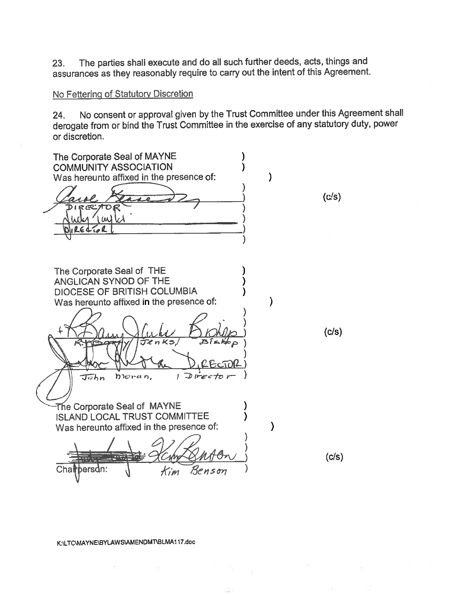The parties shall execute and do all such further deeds, acts, things and 23. assurances as they reasonably require to carry out the intent of this Agreement.

### No Fettering of Statutory Discretion

No consent or approval given by the Trust Committee under this Agreement shall 24. derogate from or bind the Trust Committee in the exercise of any statutory duty, power or discretion.

The Corporate Seal of MAYNE **COMMUNITY ASSOCIATION** λ Was hereunto affixed in the presence of:  $\mathcal{E}$  $(c/s)$ ) W) The Corporate Seal of THE ANGLICAN SYNOD OF THE DIOCESE OF BRITISH COLUMBIA Was hereunto affixed in the presence of:  $\mathcal{E}$  $(c/s)$ bioran,  $1$  Director  $\tau$ ohn $\tau$ The Corporate Seal of MAYNE **ISLAND LOCAL TRUST COMMITTEE**  $\lambda$ Was hereunto affixed in the presence of:  $(c/s)$ :persdn Chai Benson  $K$ im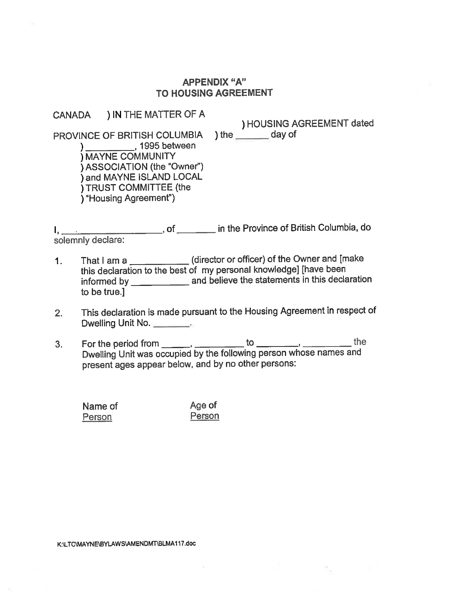#### **APPENDIX "A" TO HOUSING AGREEMENT**

# CANADA ) IN THE MATTER OF A

) HOUSING AGREEMENT dated ) the  $\rule{1em}{0.15mm}$  day of

PROVINCE OF BRITISH COLUMBIA )<br>
MAYNE COMMUNITY ) ASSOCIATION (the "Owner") ) and MAYNE ISLAND LOCAL **I TRUST COMMITTEE (the** ) "Housing Agreement")

I, \_\_\_\_\_\_\_\_\_\_\_\_\_\_\_\_\_\_\_\_\_\_\_, of \_\_\_\_\_\_\_\_ in the Province of British Columbia, do<br>solemnly declare:

- That I am a \_\_\_\_\_\_\_\_\_\_\_\_\_\_(director or officer) of the Owner and [make  $1.$ this declaration to the best of my personal knowledge] [have been informed by \_\_\_\_\_\_\_\_\_\_\_\_\_\_\_\_\_ and believe the statements in this declaration to be true.]
- This declaration is made pursuant to the Housing Agreement in respect of  $2.$ Dwelling Unit No.
- For the period from \_\_\_\_\_\_, \_\_\_\_\_\_ to \_\_\_\_\_\_\_, \_\_\_\_\_\_, the<br>Dwelling Unit was occupied by the following person whose names and  $3<sub>1</sub>$ present ages appear below, and by no other persons:

Name of Age of Person Person